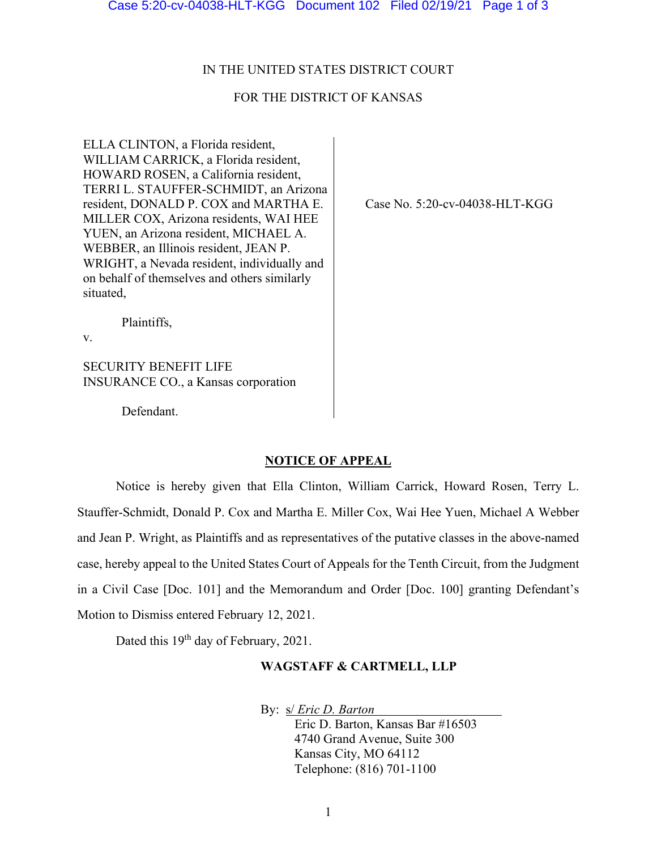#### IN THE UNITED STATES DISTRICT COURT

# FOR THE DISTRICT OF KANSAS

ELLA CLINTON, a Florida resident, WILLIAM CARRICK, a Florida resident, HOWARD ROSEN, a California resident, TERRI L. STAUFFER-SCHMIDT, an Arizona resident, DONALD P. COX and MARTHA E. MILLER COX, Arizona residents, WAI HEE YUEN, an Arizona resident, MICHAEL A. WEBBER, an Illinois resident, JEAN P. WRIGHT, a Nevada resident, individually and on behalf of themselves and others similarly situated,

Case No. 5:20-cv-04038-HLT-KGG

Plaintiffs,

v.

SECURITY BENEFIT LIFE INSURANCE CO., a Kansas corporation

Defendant.

#### **NOTICE OF APPEAL**

Notice is hereby given that Ella Clinton, William Carrick, Howard Rosen, Terry L. Stauffer-Schmidt, Donald P. Cox and Martha E. Miller Cox, Wai Hee Yuen, Michael A Webber and Jean P. Wright, as Plaintiffs and as representatives of the putative classes in the above-named case, hereby appeal to the United States Court of Appeals for the Tenth Circuit, from the Judgment in a Civil Case [Doc. 101] and the Memorandum and Order [Doc. 100] granting Defendant's Motion to Dismiss entered February 12, 2021.

Dated this 19<sup>th</sup> day of February, 2021.

## **WAGSTAFF & CARTMELL, LLP**

By: s/ *Eric D. Barton*

Eric D. Barton, Kansas Bar #16503 4740 Grand Avenue, Suite 300 Kansas City, MO 64112 Telephone: (816) 701-1100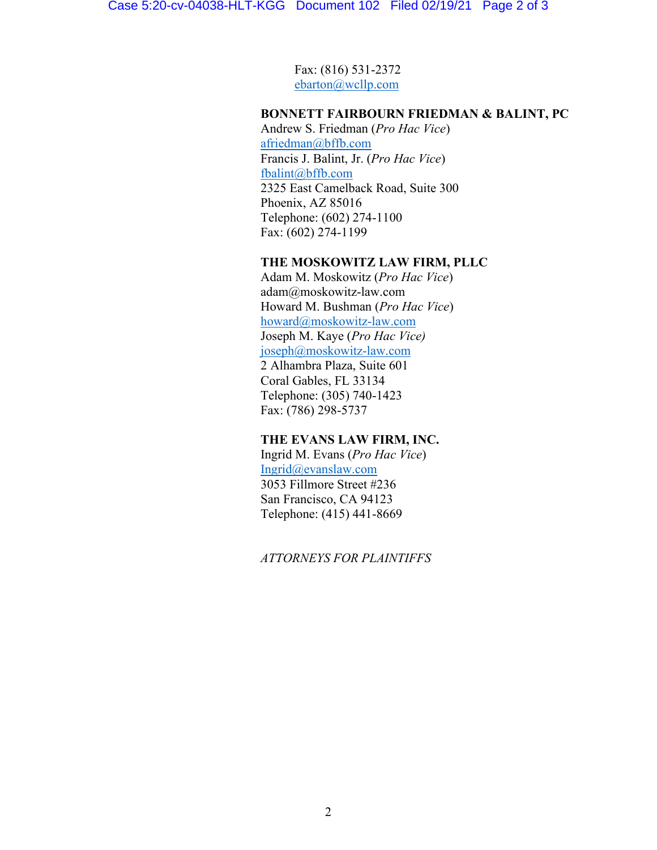Fax: (816) 531-2372 [ebarton@wcllp.com](mailto:ebarton@wcllp.com)

# **BONNETT FAIRBOURN FRIEDMAN & BALINT, PC**

Andrew S. Friedman (*Pro Hac Vice*) [afriedman@bffb.com](mailto:afriedman@bffb.com) Francis J. Balint, Jr. (*Pro Hac Vice*) [fbalint@bffb.com](mailto:fbalint@bffb.com) 2325 East Camelback Road, Suite 300 Phoenix, AZ 85016 Telephone: (602) 274-1100 Fax: (602) 274-1199

## **THE MOSKOWITZ LAW FIRM, PLLC**

Adam M. Moskowitz (*Pro Hac Vice*) adam@moskowitz-law.com Howard M. Bushman (*Pro Hac Vice*) [howard@moskowitz-law.com](mailto:howard@moskowitz-law.com) Joseph M. Kaye (*Pro Hac Vice)* [joseph@moskowitz-law.com](mailto:joseph@moskowitz-law.com) 2 Alhambra Plaza, Suite 601 Coral Gables, FL 33134 Telephone: (305) 740-1423 Fax: (786) 298-5737

## **THE EVANS LAW FIRM, INC.**

Ingrid M. Evans (*Pro Hac Vice*) [Ingrid@evanslaw.com](mailto:Ingrid@evanslaw.com) 3053 Fillmore Street #236 San Francisco, CA 94123 Telephone: (415) 441-8669

*ATTORNEYS FOR PLAINTIFFS*